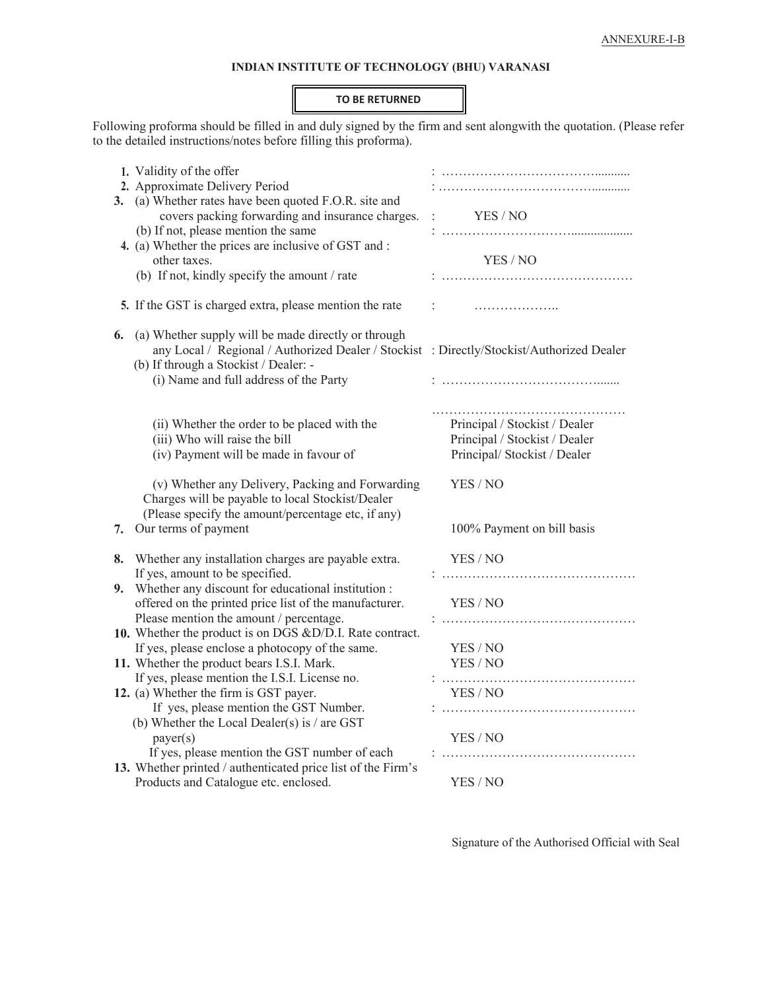### **INDIAN INSTITUTE OF TECHNOLOGY (BHU) VARANASI**

#### **TO BE RETURNED**

Following proforma should be filled in and duly signed by the firm and sent alongwith the quotation. (Please refer to the detailed instructions/notes before filling this proforma).

| 1. Validity of the offer                                                                                                                                                                        |                                                                                               |
|-------------------------------------------------------------------------------------------------------------------------------------------------------------------------------------------------|-----------------------------------------------------------------------------------------------|
| 2. Approximate Delivery Period                                                                                                                                                                  |                                                                                               |
| (a) Whether rates have been quoted F.O.R. site and<br>3.                                                                                                                                        |                                                                                               |
| covers packing forwarding and insurance charges.                                                                                                                                                | YES / NO                                                                                      |
| (b) If not, please mention the same<br>4. (a) Whether the prices are inclusive of GST and :                                                                                                     |                                                                                               |
| other taxes.                                                                                                                                                                                    | YES / NO                                                                                      |
| (b) If not, kindly specify the amount / rate                                                                                                                                                    |                                                                                               |
|                                                                                                                                                                                                 |                                                                                               |
| 5. If the GST is charged extra, please mention the rate                                                                                                                                         | $\ddot{\cdot}$                                                                                |
| (a) Whether supply will be made directly or through<br>6.<br>any Local / Regional / Authorized Dealer / Stockist : Directly/Stockist/Authorized Dealer<br>(b) If through a Stockist / Dealer: - |                                                                                               |
| (i) Name and full address of the Party                                                                                                                                                          |                                                                                               |
| (ii) Whether the order to be placed with the<br>(iii) Who will raise the bill<br>(iv) Payment will be made in favour of                                                                         | Principal / Stockist / Dealer<br>Principal / Stockist / Dealer<br>Principal/Stockist / Dealer |
| (v) Whether any Delivery, Packing and Forwarding<br>Charges will be payable to local Stockist/Dealer<br>(Please specify the amount/percentage etc, if any)                                      | YES / NO                                                                                      |
| Our terms of payment<br>7.                                                                                                                                                                      | 100% Payment on bill basis                                                                    |
| Whether any installation charges are payable extra.<br>8.                                                                                                                                       | YES/NO                                                                                        |
| If yes, amount to be specified.                                                                                                                                                                 |                                                                                               |
| Whether any discount for educational institution :<br>9.<br>offered on the printed price list of the manufacturer.                                                                              | YES/NO                                                                                        |
| Please mention the amount / percentage.                                                                                                                                                         |                                                                                               |
| 10. Whether the product is on DGS &D/D.I. Rate contract.                                                                                                                                        |                                                                                               |
| If yes, please enclose a photocopy of the same.                                                                                                                                                 | YES/NO                                                                                        |
| 11. Whether the product bears I.S.I. Mark.                                                                                                                                                      | YES / NO                                                                                      |
| If yes, please mention the I.S.I. License no.                                                                                                                                                   |                                                                                               |
| 12. (a) Whether the firm is GST payer.<br>If yes, please mention the GST Number.                                                                                                                | YES / NO                                                                                      |
| (b) Whether the Local Dealer(s) is $/$ are GST                                                                                                                                                  |                                                                                               |
| payer(s)                                                                                                                                                                                        | YES / NO                                                                                      |
| If yes, please mention the GST number of each                                                                                                                                                   |                                                                                               |
| 13. Whether printed / authenticated price list of the Firm's                                                                                                                                    |                                                                                               |
| Products and Catalogue etc. enclosed.                                                                                                                                                           | YES / NO                                                                                      |

Signature of the Authorised Official with Seal